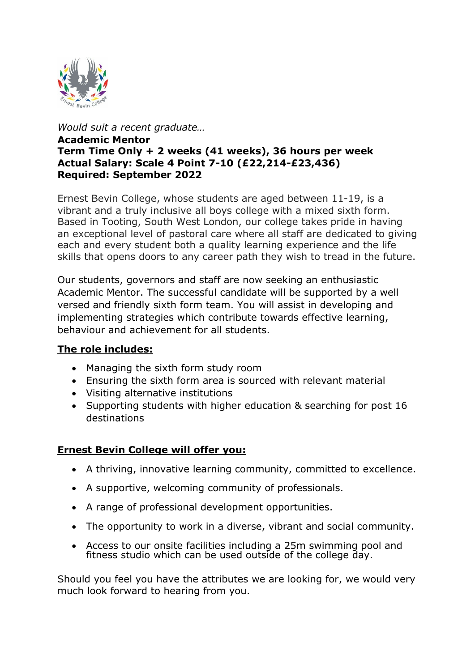

*Would suit a recent graduate…*

#### **Academic Mentor Term Time Only + 2 weeks (41 weeks), 36 hours per week Actual Salary: Scale 4 Point 7-10 (£22,214-£23,436) Required: September 2022**

Ernest Bevin College, whose students are aged between 11-19, is a vibrant and a truly inclusive all boys college with a mixed sixth form. Based in Tooting, South West London, our college takes pride in having an exceptional level of pastoral care where all staff are dedicated to giving each and every student both a quality learning experience and the life skills that opens doors to any career path they wish to tread in the future.

Our students, governors and staff are now seeking an enthusiastic Academic Mentor. The successful candidate will be supported by a well versed and friendly sixth form team. You will assist in developing and implementing strategies which contribute towards effective learning, behaviour and achievement for all students.

# **The role includes:**

- Managing the sixth form study room
- Ensuring the sixth form area is sourced with relevant material
- Visiting alternative institutions
- Supporting students with higher education & searching for post 16 destinations

# **Ernest Bevin College will offer you:**

- A thriving, innovative learning community, committed to excellence.
- A supportive, welcoming community of professionals.
- A range of professional development opportunities.
- The opportunity to work in a diverse, vibrant and social community.
- Access to our onsite facilities including a 25m swimming pool and fitness studio which can be used outside of the college day.

Should you feel you have the attributes we are looking for, we would very much look forward to hearing from you.